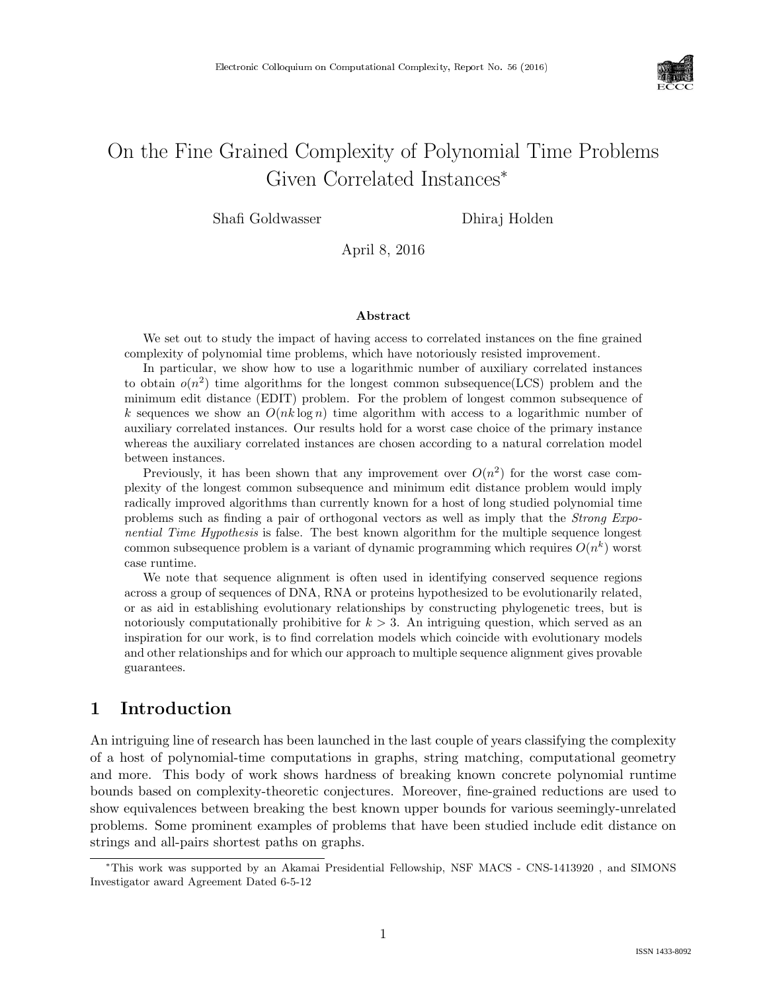

# On the Fine Grained Complexity of Polynomial Time Problems Given Correlated Instances<sup>∗</sup>

Shafi Goldwasser Dhiraj Holden

April 8, 2016

#### Abstract

We set out to study the impact of having access to correlated instances on the fine grained complexity of polynomial time problems, which have notoriously resisted improvement.

In particular, we show how to use a logarithmic number of auxiliary correlated instances to obtain  $o(n^2)$  time algorithms for the longest common subsequence (LCS) problem and the minimum edit distance (EDIT) problem. For the problem of longest common subsequence of k sequences we show an  $O(nk \log n)$  time algorithm with access to a logarithmic number of auxiliary correlated instances. Our results hold for a worst case choice of the primary instance whereas the auxiliary correlated instances are chosen according to a natural correlation model between instances.

Previously, it has been shown that any improvement over  $O(n^2)$  for the worst case complexity of the longest common subsequence and minimum edit distance problem would imply radically improved algorithms than currently known for a host of long studied polynomial time problems such as finding a pair of orthogonal vectors as well as imply that the Strong Exponential Time Hypothesis is false. The best known algorithm for the multiple sequence longest common subsequence problem is a variant of dynamic programming which requires  $O(n^k)$  worst case runtime.

We note that sequence alignment is often used in identifying conserved sequence regions across a group of sequences of DNA, RNA or proteins hypothesized to be evolutionarily related, or as aid in establishing evolutionary relationships by constructing phylogenetic trees, but is notoriously computationally prohibitive for  $k > 3$ . An intriguing question, which served as an inspiration for our work, is to find correlation models which coincide with evolutionary models and other relationships and for which our approach to multiple sequence alignment gives provable guarantees.

# 1 Introduction

An intriguing line of research has been launched in the last couple of years classifying the complexity of a host of polynomial-time computations in graphs, string matching, computational geometry and more. This body of work shows hardness of breaking known concrete polynomial runtime bounds based on complexity-theoretic conjectures. Moreover, fine-grained reductions are used to show equivalences between breaking the best known upper bounds for various seemingly-unrelated problems. Some prominent examples of problems that have been studied include edit distance on strings and all-pairs shortest paths on graphs.

<sup>∗</sup>This work was supported by an Akamai Presidential Fellowship, NSF MACS - CNS-1413920 , and SIMONS Investigator award Agreement Dated 6-5-12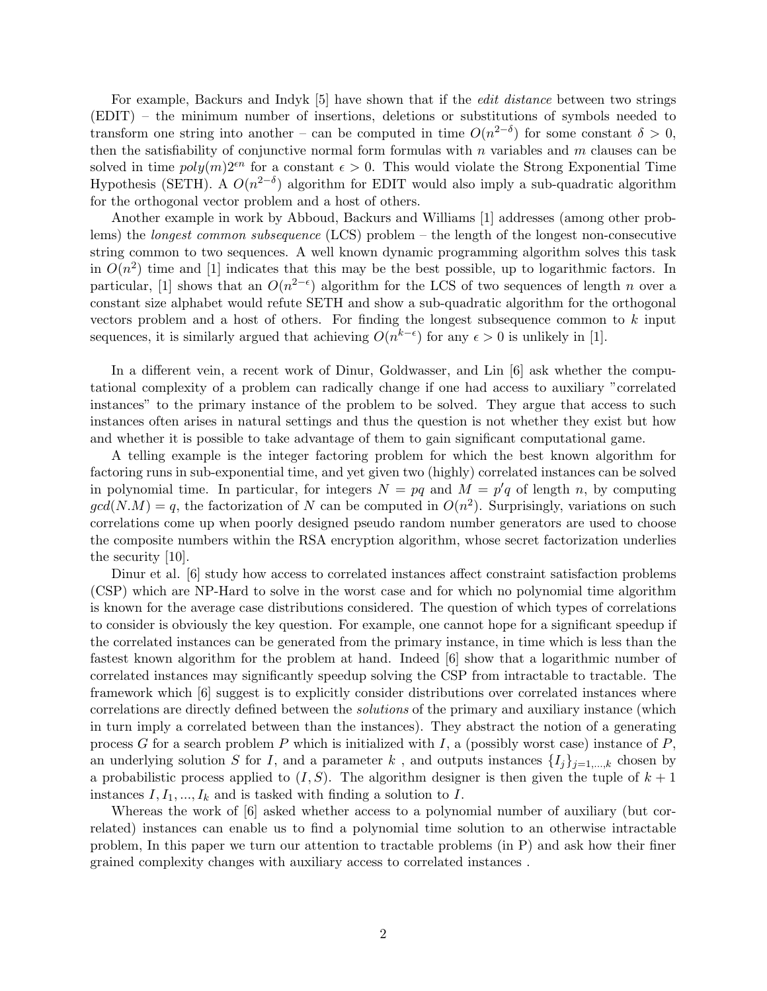For example, Backurs and Indyk [5] have shown that if the *edit distance* between two strings (EDIT) – the minimum number of insertions, deletions or substitutions of symbols needed to transform one string into another – can be computed in time  $O(n^{2-\delta})$  for some constant  $\delta > 0$ , then the satisfiability of conjunctive normal form formulas with  $n$  variables and  $m$  clauses can be solved in time  $poly(m)2^{en}$  for a constant  $\epsilon > 0$ . This would violate the Strong Exponential Time Hypothesis (SETH). A  $O(n^{2-\delta})$  algorithm for EDIT would also imply a sub-quadratic algorithm for the orthogonal vector problem and a host of others.

Another example in work by Abboud, Backurs and Williams [1] addresses (among other problems) the longest common subsequence (LCS) problem – the length of the longest non-consecutive string common to two sequences. A well known dynamic programming algorithm solves this task in  $O(n^2)$  time and [1] indicates that this may be the best possible, up to logarithmic factors. In particular, [1] shows that an  $O(n^{2-\epsilon})$  algorithm for the LCS of two sequences of length n over a constant size alphabet would refute SETH and show a sub-quadratic algorithm for the orthogonal vectors problem and a host of others. For finding the longest subsequence common to k input sequences, it is similarly argued that achieving  $O(n^{k-\epsilon})$  for any  $\epsilon > 0$  is unlikely in [1].

In a different vein, a recent work of Dinur, Goldwasser, and Lin [6] ask whether the computational complexity of a problem can radically change if one had access to auxiliary "correlated instances" to the primary instance of the problem to be solved. They argue that access to such instances often arises in natural settings and thus the question is not whether they exist but how and whether it is possible to take advantage of them to gain significant computational game.

A telling example is the integer factoring problem for which the best known algorithm for factoring runs in sub-exponential time, and yet given two (highly) correlated instances can be solved in polynomial time. In particular, for integers  $N = pq$  and  $M = p'q$  of length n, by computing  $gcd(N.M) = q$ , the factorization of N can be computed in  $O(n^2)$ . Surprisingly, variations on such correlations come up when poorly designed pseudo random number generators are used to choose the composite numbers within the RSA encryption algorithm, whose secret factorization underlies the security [10].

Dinur et al. [6] study how access to correlated instances affect constraint satisfaction problems (CSP) which are NP-Hard to solve in the worst case and for which no polynomial time algorithm is known for the average case distributions considered. The question of which types of correlations to consider is obviously the key question. For example, one cannot hope for a significant speedup if the correlated instances can be generated from the primary instance, in time which is less than the fastest known algorithm for the problem at hand. Indeed [6] show that a logarithmic number of correlated instances may significantly speedup solving the CSP from intractable to tractable. The framework which [6] suggest is to explicitly consider distributions over correlated instances where correlations are directly defined between the solutions of the primary and auxiliary instance (which in turn imply a correlated between than the instances). They abstract the notion of a generating process G for a search problem P which is initialized with I, a (possibly worst case) instance of P, an underlying solution S for I, and a parameter k, and outputs instances  $\{I_j\}_{j=1,\dots,k}$  chosen by a probabilistic process applied to  $(I, S)$ . The algorithm designer is then given the tuple of  $k + 1$ instances  $I, I_1, ..., I_k$  and is tasked with finding a solution to I.

Whereas the work of [6] asked whether access to a polynomial number of auxiliary (but correlated) instances can enable us to find a polynomial time solution to an otherwise intractable problem, In this paper we turn our attention to tractable problems (in P) and ask how their finer grained complexity changes with auxiliary access to correlated instances .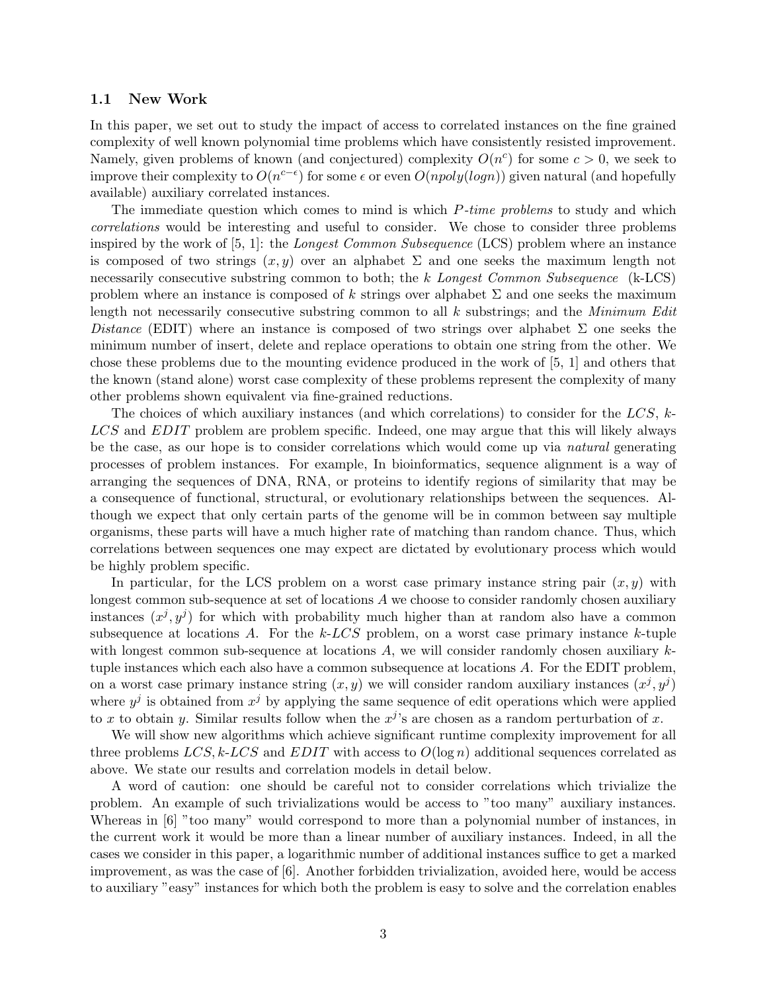### 1.1 New Work

In this paper, we set out to study the impact of access to correlated instances on the fine grained complexity of well known polynomial time problems which have consistently resisted improvement. Namely, given problems of known (and conjectured) complexity  $O(n^c)$  for some  $c > 0$ , we seek to improve their complexity to  $O(n^{c-\epsilon})$  for some  $\epsilon$  or even  $O(npoly(log n))$  given natural (and hopefully available) auxiliary correlated instances.

The immediate question which comes to mind is which *P-time problems* to study and which correlations would be interesting and useful to consider. We chose to consider three problems inspired by the work of  $[5, 1]$ : the Longest Common Subsequence (LCS) problem where an instance is composed of two strings  $(x, y)$  over an alphabet  $\Sigma$  and one seeks the maximum length not necessarily consecutive substring common to both; the k Longest Common Subsequence (k-LCS) problem where an instance is composed of k strings over alphabet  $\Sigma$  and one seeks the maximum length not necessarily consecutive substring common to all  $k$  substrings; and the *Minimum Edit* Distance (EDIT) where an instance is composed of two strings over alphabet  $\Sigma$  one seeks the minimum number of insert, delete and replace operations to obtain one string from the other. We chose these problems due to the mounting evidence produced in the work of [5, 1] and others that the known (stand alone) worst case complexity of these problems represent the complexity of many other problems shown equivalent via fine-grained reductions.

The choices of which auxiliary instances (and which correlations) to consider for the  $LCS$ , k-LCS and EDIT problem are problem specific. Indeed, one may argue that this will likely always be the case, as our hope is to consider correlations which would come up via natural generating processes of problem instances. For example, In bioinformatics, sequence alignment is a way of arranging the sequences of DNA, RNA, or proteins to identify regions of similarity that may be a consequence of functional, structural, or evolutionary relationships between the sequences. Although we expect that only certain parts of the genome will be in common between say multiple organisms, these parts will have a much higher rate of matching than random chance. Thus, which correlations between sequences one may expect are dictated by evolutionary process which would be highly problem specific.

In particular, for the LCS problem on a worst case primary instance string pair  $(x, y)$  with longest common sub-sequence at set of locations A we choose to consider randomly chosen auxiliary instances  $(x^j, y^j)$  for which with probability much higher than at random also have a common subsequence at locations A. For the  $k\text{-}LCS$  problem, on a worst case primary instance k-tuple with longest common sub-sequence at locations  $A$ , we will consider randomly chosen auxiliary  $k$ tuple instances which each also have a common subsequence at locations A. For the EDIT problem, on a worst case primary instance string  $(x, y)$  we will consider random auxiliary instances  $(x^j, y^j)$ where  $y^j$  is obtained from  $x^j$  by applying the same sequence of edit operations which were applied to x to obtain y. Similar results follow when the  $x^j$ 's are chosen as a random perturbation of x.

We will show new algorithms which achieve significant runtime complexity improvement for all three problems  $LCS$ , k-LCS and EDIT with access to  $O(\log n)$  additional sequences correlated as above. We state our results and correlation models in detail below.

A word of caution: one should be careful not to consider correlations which trivialize the problem. An example of such trivializations would be access to "too many" auxiliary instances. Whereas in [6] "too many" would correspond to more than a polynomial number of instances, in the current work it would be more than a linear number of auxiliary instances. Indeed, in all the cases we consider in this paper, a logarithmic number of additional instances suffice to get a marked improvement, as was the case of [6]. Another forbidden trivialization, avoided here, would be access to auxiliary "easy" instances for which both the problem is easy to solve and the correlation enables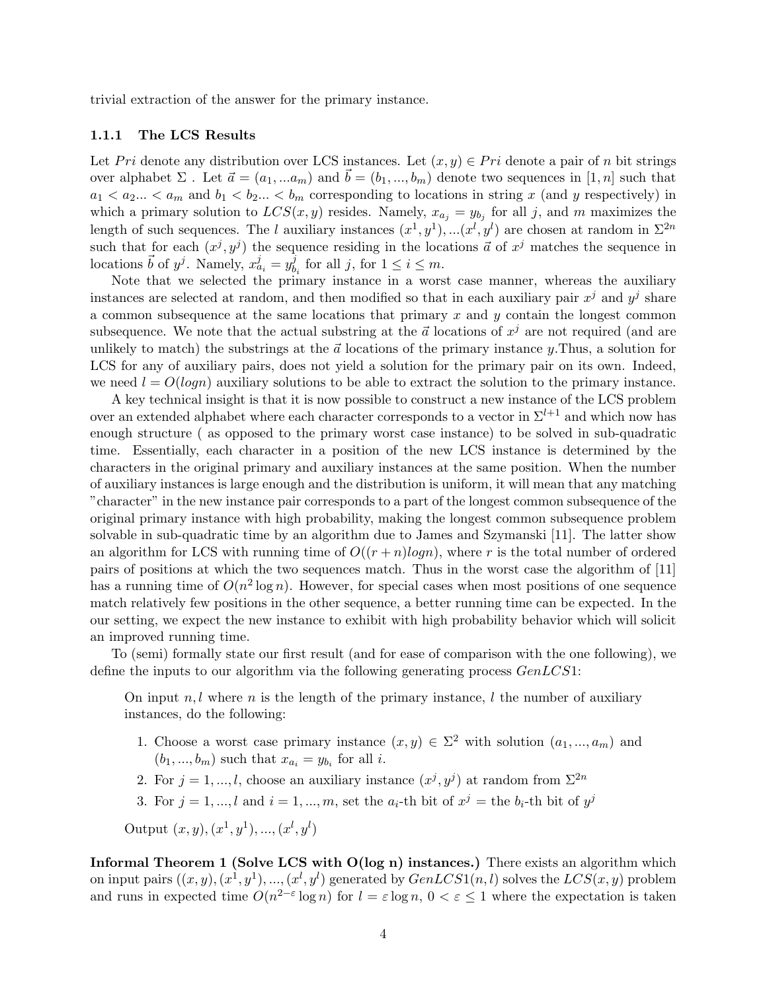trivial extraction of the answer for the primary instance.

#### 1.1.1 The LCS Results

Let P ri denote any distribution over LCS instances. Let  $(x, y) \in Pri$  denote a pair of n bit strings over alphabet  $\Sigma$ . Let  $\vec{a} = (a_1, ... a_m)$  and  $\vec{b} = (b_1, ..., b_m)$  denote two sequences in [1, n] such that  $a_1 < a_2... < a_m$  and  $b_1 < b_2... < b_m$  corresponding to locations in string x (and y respectively) in which a primary solution to  $LCS(x, y)$  resides. Namely,  $x_{a_j} = y_{b_j}$  for all j, and m maximizes the length of such sequences. The l auxiliary instances  $(x^1, y^1), \ldots (x^l, y^l)$  are chosen at random in  $\Sigma^{2n}$ such that for each  $(x^j, y^j)$  the sequence residing in the locations  $\vec{a}$  of  $x^j$  matches the sequence in locations  $\vec{b}$  of  $y^j$ . Namely,  $x^j_{a_i} = y^j_b$  $\delta_{b_i}^j$  for all j, for  $1 \leq i \leq m$ .

Note that we selected the primary instance in a worst case manner, whereas the auxiliary instances are selected at random, and then modified so that in each auxiliary pair  $x^j$  and  $y^j$  share a common subsequence at the same locations that primary  $x$  and  $y$  contain the longest common subsequence. We note that the actual substring at the  $\vec{a}$  locations of  $x^j$  are not required (and are unlikely to match) the substrings at the  $\vec{a}$  locations of the primary instance y. Thus, a solution for LCS for any of auxiliary pairs, does not yield a solution for the primary pair on its own. Indeed, we need  $l = O(log n)$  auxiliary solutions to be able to extract the solution to the primary instance.

A key technical insight is that it is now possible to construct a new instance of the LCS problem over an extended alphabet where each character corresponds to a vector in  $\Sigma^{l+1}$  and which now has enough structure ( as opposed to the primary worst case instance) to be solved in sub-quadratic time. Essentially, each character in a position of the new LCS instance is determined by the characters in the original primary and auxiliary instances at the same position. When the number of auxiliary instances is large enough and the distribution is uniform, it will mean that any matching "character" in the new instance pair corresponds to a part of the longest common subsequence of the original primary instance with high probability, making the longest common subsequence problem solvable in sub-quadratic time by an algorithm due to James and Szymanski [11]. The latter show an algorithm for LCS with running time of  $O((r+n)logn)$ , where r is the total number of ordered pairs of positions at which the two sequences match. Thus in the worst case the algorithm of [11] has a running time of  $O(n^2 \log n)$ . However, for special cases when most positions of one sequence match relatively few positions in the other sequence, a better running time can be expected. In the our setting, we expect the new instance to exhibit with high probability behavior which will solicit an improved running time.

To (semi) formally state our first result (and for ease of comparison with the one following), we define the inputs to our algorithm via the following generating process GenLCS1:

On input  $n, l$  where n is the length of the primary instance, l the number of auxiliary instances, do the following:

- 1. Choose a worst case primary instance  $(x, y) \in \Sigma^2$  with solution  $(a_1, ..., a_m)$  and  $(b_1, ..., b_m)$  such that  $x_{a_i} = y_{b_i}$  for all *i*.
- 2. For  $j = 1, ..., l$ , choose an auxiliary instance  $(x^j, y^j)$  at random from  $\Sigma^{2n}$
- 3. For  $j = 1, ..., l$  and  $i = 1, ..., m$ , set the  $a_i$ -th bit of  $x^j =$  the  $b_i$ -th bit of  $y^j$

Output  $(x, y), (x<sup>1</sup>, y<sup>1</sup>), ..., (x<sup>l</sup>, y<sup>l</sup>)$ 

Informal Theorem 1 (Solve LCS with  $O(log n)$  instances.) There exists an algorithm which on input pairs  $((x, y), (x<sup>1</sup>, y<sup>1</sup>), ..., (x<sup>l</sup>, y<sup>l</sup>)$  generated by  $GenLCS1(n, l)$  solves the  $LCS(x, y)$  problem and runs in expected time  $O(n^{2-\epsilon} \log n)$  for  $l = \epsilon \log n$ ,  $0 < \epsilon \leq 1$  where the expectation is taken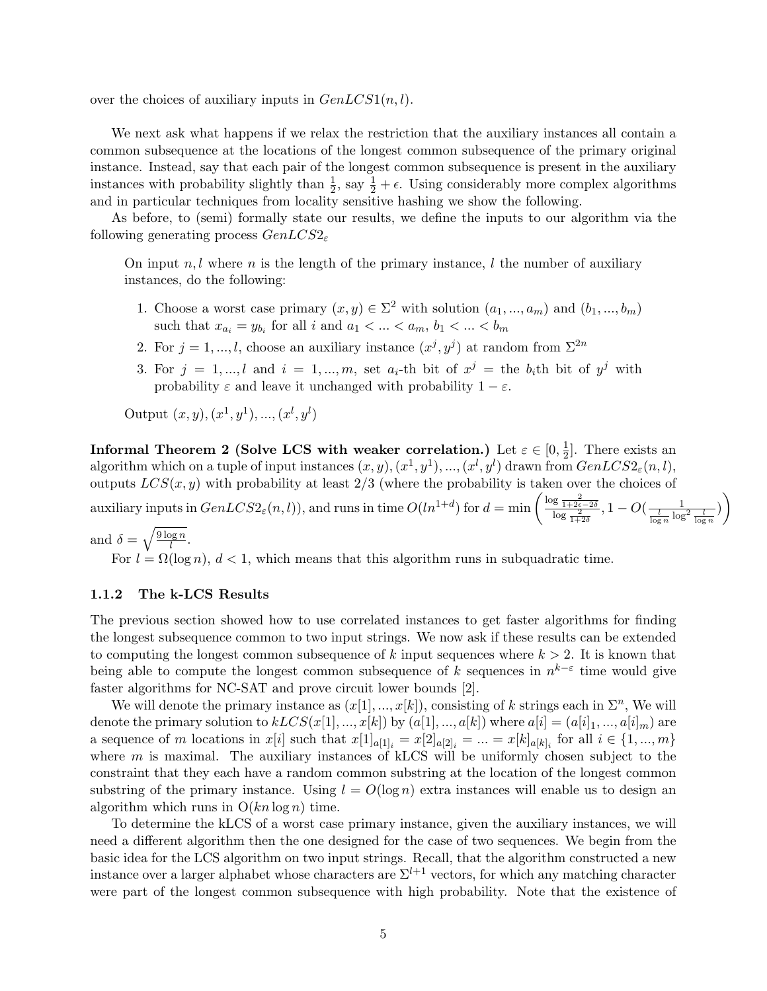over the choices of auxiliary inputs in  $GenLCS1(n, l)$ .

We next ask what happens if we relax the restriction that the auxiliary instances all contain a common subsequence at the locations of the longest common subsequence of the primary original instance. Instead, say that each pair of the longest common subsequence is present in the auxiliary instances with probability slightly than  $\frac{1}{2}$ , say  $\frac{1}{2} + \epsilon$ . Using considerably more complex algorithms and in particular techniques from locality sensitive hashing we show the following.

As before, to (semi) formally state our results, we define the inputs to our algorithm via the following generating process  $GenLCS2<sub>\epsilon</sub>$ 

On input  $n, l$  where n is the length of the primary instance, l the number of auxiliary instances, do the following:

- 1. Choose a worst case primary  $(x, y) \in \Sigma^2$  with solution  $(a_1, ..., a_m)$  and  $(b_1, ..., b_m)$ such that  $x_{a_i} = y_{b_i}$  for all i and  $a_1 < \ldots < a_m$ ,  $b_1 < \ldots < b_m$
- 2. For  $j = 1, ..., l$ , choose an auxiliary instance  $(x^j, y^j)$  at random from  $\Sigma^{2n}$
- 3. For  $j = 1, ..., l$  and  $i = 1, ..., m$ , set  $a_i$ -th bit of  $x^j$  = the  $b_i$ th bit of  $y^j$  with probability  $\varepsilon$  and leave it unchanged with probability  $1 - \varepsilon$ .

Output  $(x, y), (x<sup>1</sup>, y<sup>1</sup>), ..., (x<sup>l</sup>, y<sup>l</sup>)$ 

Informal Theorem 2 (Solve LCS with weaker correlation.) Let  $\varepsilon \in [0, \frac{1}{2}]$  $\frac{1}{2}$ . There exists an algorithm which on a tuple of input instances  $(x, y), (x^1, y^1), ..., (x^l, y^l)$  drawn from  $GenLCS2_{\varepsilon}(n, l)$ , outputs  $LCS(x, y)$  with probability at least  $2/3$  (where the probability is taken over the choices of auxiliary inputs in  $GenLCS2_{\varepsilon}(n, l)$ , and runs in time  $O(ln^{1+d})$  for  $d = \min\left(\frac{\log \frac{2}{1+2\varepsilon-2\delta}}{\log \frac{2}{1+2\delta}}, 1-O(\frac{1}{\log n}\log^2 \frac{l}{\log n})\right)$ 

and  $\delta = \sqrt{\frac{9 \log n}{l}}$  $\frac{\log n}{l}$  .

For  $l = \Omega(\log n)$ ,  $d < 1$ , which means that this algorithm runs in subquadratic time.

### 1.1.2 The k-LCS Results

The previous section showed how to use correlated instances to get faster algorithms for finding the longest subsequence common to two input strings. We now ask if these results can be extended to computing the longest common subsequence of k input sequences where  $k > 2$ . It is known that being able to compute the longest common subsequence of k sequences in  $n^{k-\varepsilon}$  time would give faster algorithms for NC-SAT and prove circuit lower bounds [2].

We will denote the primary instance as  $(x[1], ..., x[k])$ , consisting of k strings each in  $\Sigma<sup>n</sup>$ , We will denote the primary solution to  $kLCS(x[1], ..., x[k])$  by  $(a[1], ..., a[k])$  where  $a[i] = (a[i]_1, ..., a[i]_m)$  are a sequence of m locations in  $x[i]$  such that  $x[1]_{a[1]_i} = x[2]_{a[2]_i} = ... = x[k]_{a[k]_i}$  for all  $i \in \{1, ..., m\}$ where  $m$  is maximal. The auxiliary instances of kLCS will be uniformly chosen subject to the constraint that they each have a random common substring at the location of the longest common substring of the primary instance. Using  $l = O(\log n)$  extra instances will enable us to design an algorithm which runs in  $O(kn \log n)$  time.

To determine the kLCS of a worst case primary instance, given the auxiliary instances, we will need a different algorithm then the one designed for the case of two sequences. We begin from the basic idea for the LCS algorithm on two input strings. Recall, that the algorithm constructed a new instance over a larger alphabet whose characters are  $\Sigma^{l+1}$  vectors, for which any matching character were part of the longest common subsequence with high probability. Note that the existence of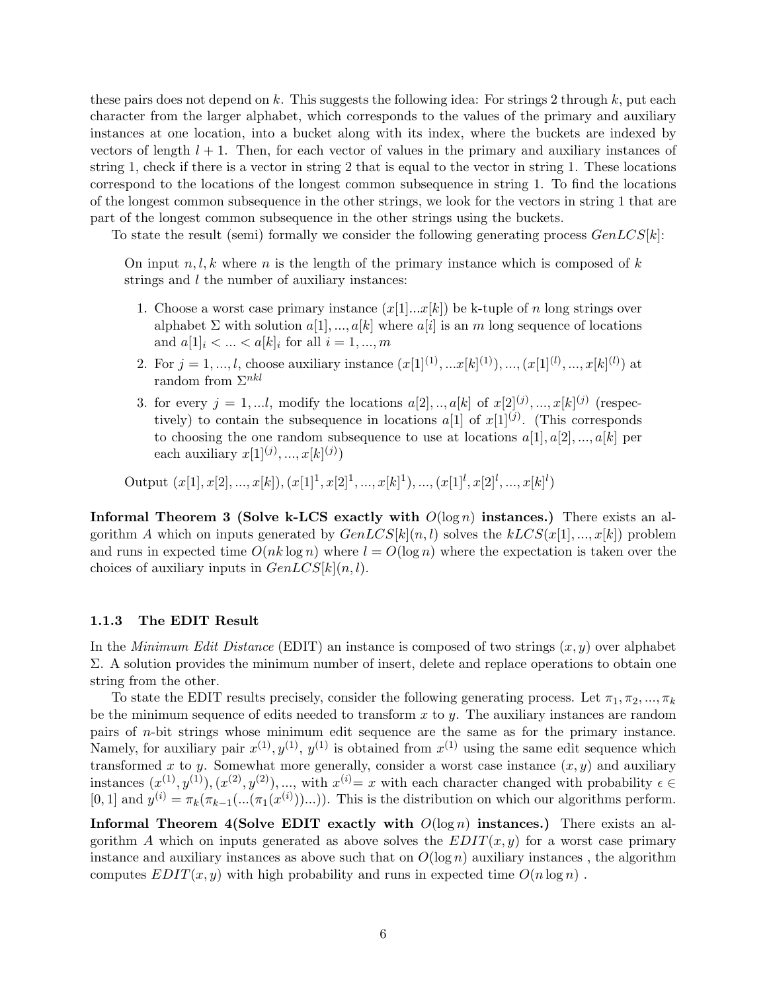these pairs does not depend on k. This suggests the following idea: For strings 2 through  $k$ , put each character from the larger alphabet, which corresponds to the values of the primary and auxiliary instances at one location, into a bucket along with its index, where the buckets are indexed by vectors of length  $l + 1$ . Then, for each vector of values in the primary and auxiliary instances of string 1, check if there is a vector in string 2 that is equal to the vector in string 1. These locations correspond to the locations of the longest common subsequence in string 1. To find the locations of the longest common subsequence in the other strings, we look for the vectors in string 1 that are part of the longest common subsequence in the other strings using the buckets.

To state the result (semi) formally we consider the following generating process  $GenLCS[k]$ :

On input  $n, l, k$  where n is the length of the primary instance which is composed of k strings and  $l$  the number of auxiliary instances:

- 1. Choose a worst case primary instance  $(x[1]...x[k])$  be k-tuple of n long strings over alphabet  $\Sigma$  with solution  $a[1],...,a[k]$  where  $a[i]$  is an m long sequence of locations and  $a[1]_i < \ldots < a[k]_i$  for all  $i = 1,...,m$
- 2. For  $j = 1, ..., l$ , choose auxiliary instance  $(x[1]^{(1)}, ... x[k]^{(1)}), ..., (x[1]^{(l)}, ..., x[k]^{(l)})$  at random from  $\Sigma^{nkl}$
- 3. for every  $j = 1,...l$ , modify the locations  $a[2],...,a[k]$  of  $x[2]^{(j)},...,x[k]^{(j)}$  (respectively) to contain the subsequence in locations  $a[1]$  of  $x[1]^{(j)}$ . (This corresponds to choosing the one random subsequence to use at locations  $a[1], a[2], ..., a[k]$  per each auxiliary  $x[1]^{(j)}, ..., x[k]^{(j)}$

Output  $(x[1], x[2], ..., x[k])$ ,  $(x[1]^1, x[2]^1, ..., x[k]^1)$ , ...,  $(x[1]^l, x[2]^l, ..., x[k]^l)$ 

Informal Theorem 3 (Solve k-LCS exactly with  $O(\log n)$  instances.) There exists an algorithm A which on inputs generated by  $GenLCS[k(n, l)$  solves the  $kLCS(x[1], ..., x[k])$  problem and runs in expected time  $O(nk \log n)$  where  $l = O(\log n)$  where the expectation is taken over the choices of auxiliary inputs in  $GenLCS[k](n, l)$ .

### 1.1.3 The EDIT Result

In the Minimum Edit Distance (EDIT) an instance is composed of two strings  $(x, y)$  over alphabet  $\Sigma$ . A solution provides the minimum number of insert, delete and replace operations to obtain one string from the other.

To state the EDIT results precisely, consider the following generating process. Let  $\pi_1, \pi_2, ..., \pi_k$ be the minimum sequence of edits needed to transform  $x$  to  $y$ . The auxiliary instances are random pairs of n-bit strings whose minimum edit sequence are the same as for the primary instance. Namely, for auxiliary pair  $x^{(1)}, y^{(1)}, y^{(1)}$  is obtained from  $x^{(1)}$  using the same edit sequence which transformed x to y. Somewhat more generally, consider a worst case instance  $(x, y)$  and auxiliary instances  $(x^{(1)}, y^{(1)}), (x^{(2)}, y^{(2)}), \dots$ , with  $x^{(i)} = x$  with each character changed with probability  $\epsilon \in$ [0, 1] and  $y^{(i)} = \pi_k(\pi_{k-1}(\ldots(\pi_1(x^{(i)}))\ldots))$ . This is the distribution on which our algorithms perform.

Informal Theorem 4(Solve EDIT exactly with  $O(\log n)$  instances.) There exists an algorithm A which on inputs generated as above solves the  $EDIT(x, y)$  for a worst case primary instance and auxiliary instances as above such that on  $O(\log n)$  auxiliary instances, the algorithm computes  $EDIT(x, y)$  with high probability and runs in expected time  $O(n \log n)$ .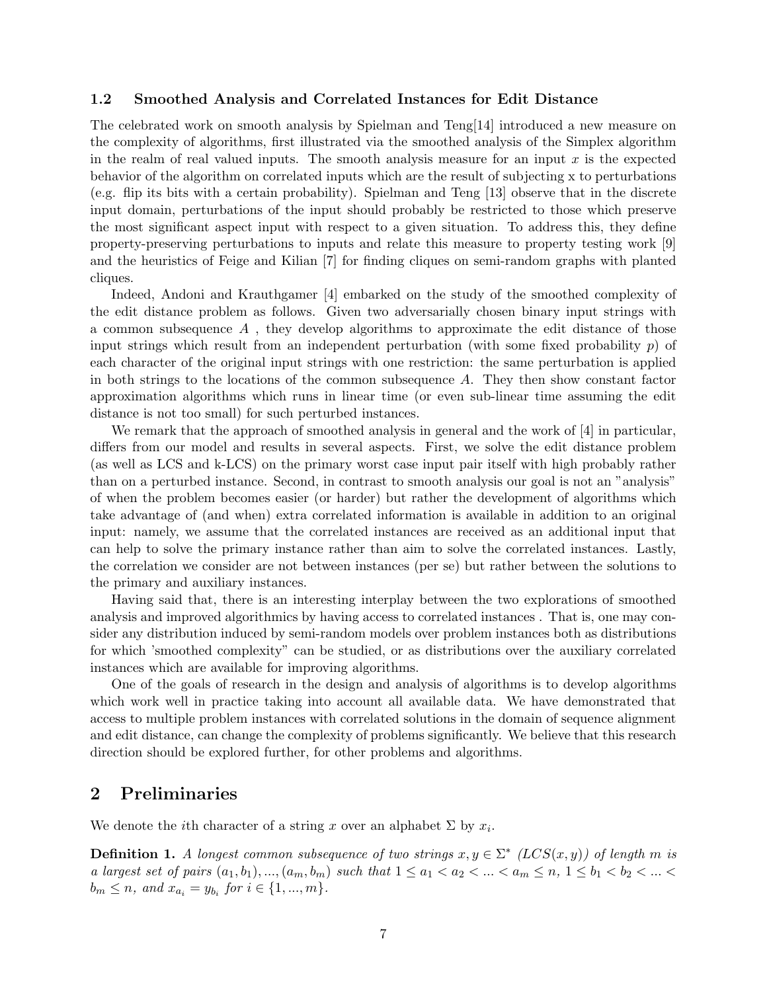### 1.2 Smoothed Analysis and Correlated Instances for Edit Distance

The celebrated work on smooth analysis by Spielman and Teng[14] introduced a new measure on the complexity of algorithms, first illustrated via the smoothed analysis of the Simplex algorithm in the realm of real valued inputs. The smooth analysis measure for an input  $x$  is the expected behavior of the algorithm on correlated inputs which are the result of subjecting x to perturbations (e.g. flip its bits with a certain probability). Spielman and Teng [13] observe that in the discrete input domain, perturbations of the input should probably be restricted to those which preserve the most significant aspect input with respect to a given situation. To address this, they define property-preserving perturbations to inputs and relate this measure to property testing work [9] and the heuristics of Feige and Kilian [7] for finding cliques on semi-random graphs with planted cliques.

Indeed, Andoni and Krauthgamer [4] embarked on the study of the smoothed complexity of the edit distance problem as follows. Given two adversarially chosen binary input strings with a common subsequence  $A$ , they develop algorithms to approximate the edit distance of those input strings which result from an independent perturbation (with some fixed probability  $p$ ) of each character of the original input strings with one restriction: the same perturbation is applied in both strings to the locations of the common subsequence A. They then show constant factor approximation algorithms which runs in linear time (or even sub-linear time assuming the edit distance is not too small) for such perturbed instances.

We remark that the approach of smoothed analysis in general and the work of [4] in particular, differs from our model and results in several aspects. First, we solve the edit distance problem (as well as LCS and k-LCS) on the primary worst case input pair itself with high probably rather than on a perturbed instance. Second, in contrast to smooth analysis our goal is not an "analysis" of when the problem becomes easier (or harder) but rather the development of algorithms which take advantage of (and when) extra correlated information is available in addition to an original input: namely, we assume that the correlated instances are received as an additional input that can help to solve the primary instance rather than aim to solve the correlated instances. Lastly, the correlation we consider are not between instances (per se) but rather between the solutions to the primary and auxiliary instances.

Having said that, there is an interesting interplay between the two explorations of smoothed analysis and improved algorithmics by having access to correlated instances . That is, one may consider any distribution induced by semi-random models over problem instances both as distributions for which 'smoothed complexity" can be studied, or as distributions over the auxiliary correlated instances which are available for improving algorithms.

One of the goals of research in the design and analysis of algorithms is to develop algorithms which work well in practice taking into account all available data. We have demonstrated that access to multiple problem instances with correlated solutions in the domain of sequence alignment and edit distance, can change the complexity of problems significantly. We believe that this research direction should be explored further, for other problems and algorithms.

### 2 Preliminaries

We denote the *i*th character of a string x over an alphabet  $\Sigma$  by  $x_i$ .

**Definition 1.** A longest common subsequence of two strings  $x, y \in \Sigma^*$  (LCS(x,y)) of length m is a largest set of pairs  $(a_1, b_1), ..., (a_m, b_m)$  such that  $1 \le a_1 < a_2 < ... < a_m \le n, 1 \le b_1 < b_2 < ... <$  $b_m \leq n$ , and  $x_{a_i} = y_{b_i}$  for  $i \in \{1, ..., m\}$ .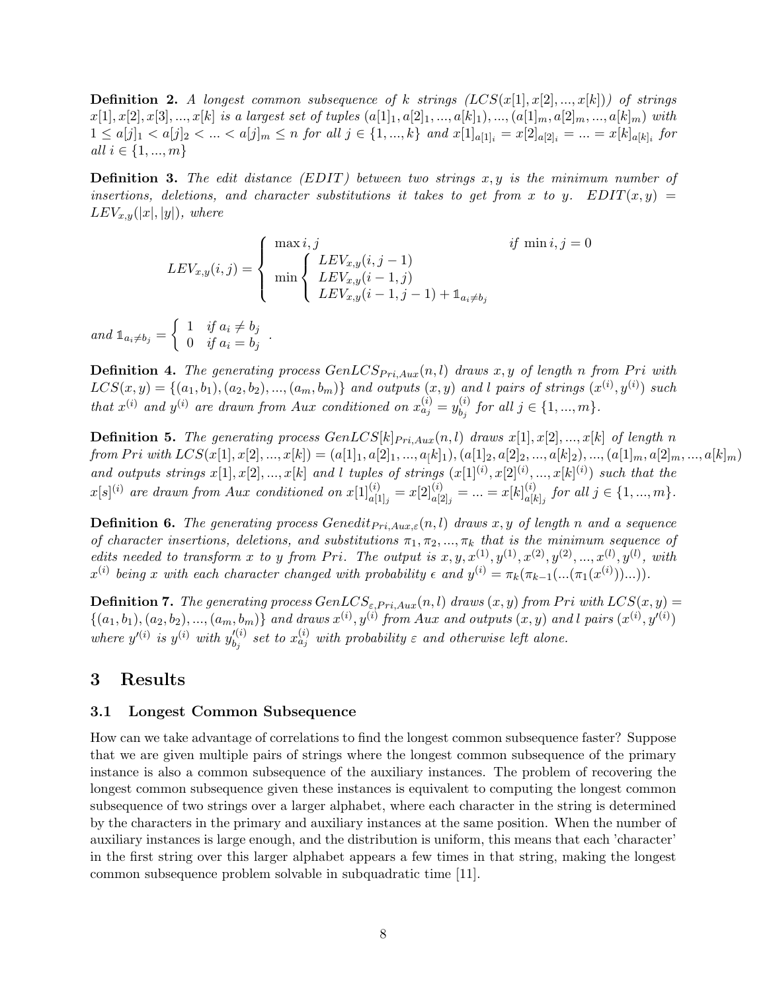**Definition 2.** A longest common subsequence of k strings  $(LCS(x[1], x[2], ..., x[k]))$  of strings  $x[1], x[2], x[3], ..., x[k]$  is a largest set of tuples  $(a[1], a[2], ..., a[k]_1), ..., (a[1]_m, a[2]_m, ..., a[k]_m)$  with  $1 \le a[j]_1 < a[j]_2 < \ldots < a[j]_m \le n$  for all  $j \in \{1, ..., k\}$  and  $x[1]_{a[1]_i} = x[2]_{a[2]_i} = \ldots = x[k]_{a[k]_i}$  for *all*  $i \in \{1, ..., m\}$ 

**Definition 3.** The edit distance  $(EDIT)$  between two strings  $x, y$  is the minimum number of insertions, deletions, and character substitutions it takes to get from x to y.  $EDIT(x, y)$  =  $LEV_{x,y}(|x|,|y|)$ , where

$$
LEV_{x,y}(i,j) = \begin{cases} \max i, j & \text{if } \min i, j = 0\\ \min \begin{cases} LEV_{x,y}(i, j - 1) \\ LEV_{x,y}(i - 1, j) \\ LEV_{x,y}(i - 1, j - 1) + \mathbb{1}_{a_i \neq b_j} \end{cases} \end{cases}
$$

and  $\mathbb{1}_{a_i\neq b_j} = \begin{cases} 1 & \text{if } a_i \neq b_j \\ 0 & \text{if } a_i = b_j \end{cases}$  $\begin{array}{cc} 0 & if \ a_i = b_j \end{array}$ .

**Definition 4.** The generating process  $GenLCS_{Pri,Aux}(n, l)$  draws x, y of length n from Pri with  $LCS(x,y) = \{(a_1,b_1), (a_2,b_2), ..., (a_m,b_m)\}\$ and outputs  $(x,y)$  and l pairs of strings  $(x^{(i)},y^{(i)})$  such that  $x^{(i)}$  and  $y^{(i)}$  are drawn from Aux conditioned on  $x_{a_j}^{(i)} = y_{b_i}^{(i)}$  $b_j^{(i)}$  for all  $j \in \{1, ..., m\}$ .

**Definition 5.** The generating process  $GenLCS[k]_{Pri,Aux}(n, l)$  draws  $x[1], x[2], ..., x[k]$  of length n from Pri with  $LCS(x[1], x[2], ..., x[k]) = (a[1]_1, a[2]_1, ..., a[k]_1), (a[1]_2, a[2]_2, ..., a[k]_2), ..., (a[1]_m, a[2]_m, ..., a[k]_m)$ and outputs strings  $x[1], x[2], ..., x[k]$  and l tuples of strings  $(x[1]^{(i)}, x[2]^{(i)}, ..., x[k]^{(i)})$  such that the  $x[s]^{(i)}$  are drawn from Aux conditioned on  $x[1]_{a[1]_j}^{(i)} = x[2]_{a[2]_j}^{(i)} = ... = x[k]_{a[k]}^{(i)}$  $a[k]_j$  for all  $j \in \{1, ..., m\}$ .

**Definition 6.** The generating process Genedit<sub>Pri,Aux, $\varepsilon$ </sub> $(n, l)$  draws x, y of length n and a sequence of character insertions, deletions, and substitutions  $\pi_1, \pi_2, ..., \pi_k$  that is the minimum sequence of edits needed to transform x to y from Pri. The output is  $x, y, x^{(1)}, y^{(1)}, x^{(2)}, y^{(2)}, ..., x^{(l)}, y^{(l)},$  with  $x^{(i)}$  being x with each character changed with probability  $\epsilon$  and  $y^{(i)} = \pi_k(\pi_{k-1}(\ldots(\pi_1(x^{(i)}))\ldots)).$ 

**Definition 7.** The generating process  $GenLCS_{\varepsilon, Pri, Aux}(n, l)$  draws  $(x, y)$  from Pri with  $LCS(x, y)$  =  $\{(a_1, b_1), (a_2, b_2), ..., (a_m, b_m)\}$  and draws  $x^{(i)}, y^{(i)}$  from Aux and outputs  $(x, y)$  and l pairs  $(x^{(i)}, y'^{(i)})$ where  $y'^{(i)}$  is  $y^{(i)}$  with  $y'^{(i)}_{b_i}$  $\mathcal{L}^{(i)}_{b_j}$  set to  $x_{a_j}^{(i)}$  with probability  $\varepsilon$  and otherwise left alone.

### 3 Results

### 3.1 Longest Common Subsequence

How can we take advantage of correlations to find the longest common subsequence faster? Suppose that we are given multiple pairs of strings where the longest common subsequence of the primary instance is also a common subsequence of the auxiliary instances. The problem of recovering the longest common subsequence given these instances is equivalent to computing the longest common subsequence of two strings over a larger alphabet, where each character in the string is determined by the characters in the primary and auxiliary instances at the same position. When the number of auxiliary instances is large enough, and the distribution is uniform, this means that each 'character' in the first string over this larger alphabet appears a few times in that string, making the longest common subsequence problem solvable in subquadratic time [11].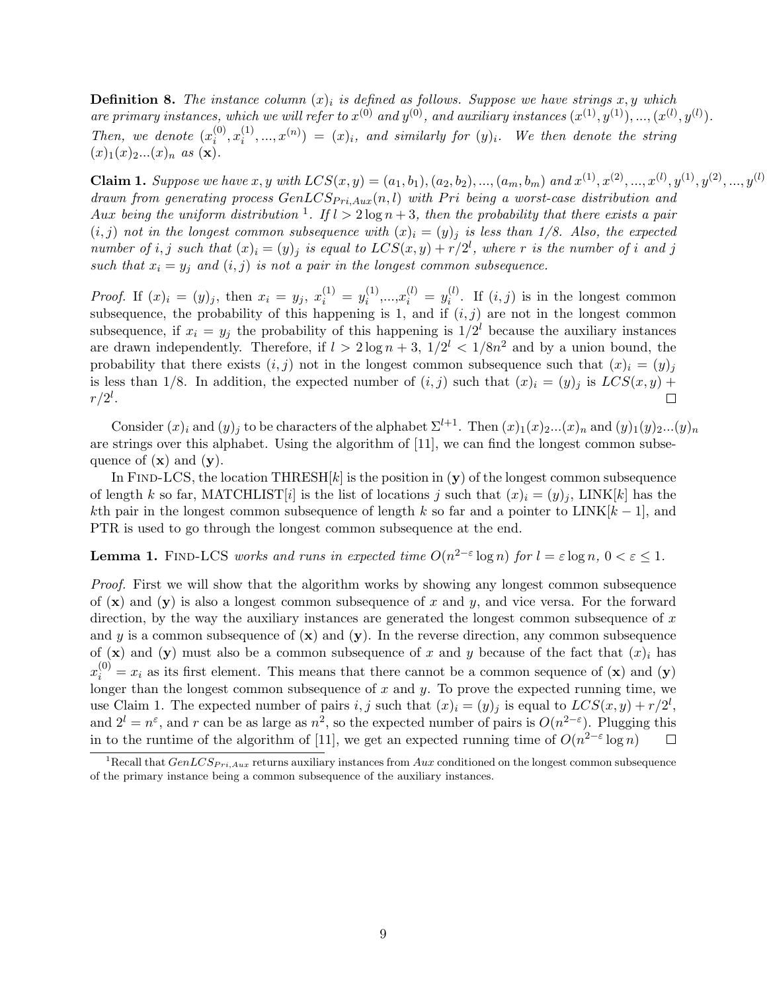**Definition 8.** The instance column  $(x)_i$  is defined as follows. Suppose we have strings x, y which are primary instances, which we will refer to  $x^{(0)}$  and  $y^{(0)}$ , and auxiliary instances  $(x^{(1)}, y^{(1)}), ..., (x^{(l)}, y^{(l)})$ . Then, we denote  $(x_i^{(0)}$  $\binom{0}{i}, x_i^{(1)}$  $\hat{f}_i^{(1)},...,x^{(n)}) = (x)_i$ , and similarly for  $(y)_i$ . We then denote the string  $(x)$ <sub>1</sub> $(x)$ <sub>2</sub>... $(x)$ <sub>n</sub> as  $(\mathbf{x})$ .

**Claim 1.** Suppose we have  $x, y$  with  $LCS(x, y) = (a_1, b_1), (a_2, b_2), ..., (a_m, b_m)$  and  $x^{(1)}, x^{(2)}, ..., x^{(l)}, y^{(1)}, y^{(2)}, ..., y^{(l)}$ drawn from generating process  $GenLCS_{Pri,Aux}(n, l)$  with Pri being a worst-case distribution and Aux being the uniform distribution <sup>1</sup>. If  $l > 2 \log n + 3$ , then the probability that there exists a pair  $(i, j)$  not in the longest common subsequence with  $(x)_i = (y)_j$  is less than 1/8. Also, the expected number of i, j such that  $(x)_i = (y)_j$  is equal to  $LCS(x, y) + r/2^l$ , where r is the number of i and j such that  $x_i = y_j$  and  $(i, j)$  is not a pair in the longest common subsequence.

*Proof.* If  $(x)_i = (y)_j$ , then  $x_i = y_j$ ,  $x_i^{(1)} = y_i^{(1)}$  $x_i^{(1)},...,x_i^{(l)} = y_i^{(l)}$  $i^{(i)}$ . If  $(i, j)$  is in the longest common subsequence, the probability of this happening is 1, and if  $(i, j)$  are not in the longest common subsequence, if  $x_i = y_j$  the probability of this happening is  $1/2^l$  because the auxiliary instances are drawn independently. Therefore, if  $l > 2 \log n + 3$ ,  $1/2^l < 1/8n^2$  and by a union bound, the probability that there exists  $(i, j)$  not in the longest common subsequence such that  $(x)_i = (y)_j$ is less than 1/8. In addition, the expected number of  $(i, j)$  such that  $(x)_i = (y)_j$  is  $LCS(x, y)$  +  $r/2^l$  .  $\Box$ 

Consider  $(x)_i$  and  $(y)_j$  to be characters of the alphabet  $\Sigma^{l+1}$ . Then  $(x)_1(x)_2...(x)_n$  and  $(y)_1(y)_2...(y)_n$ are strings over this alphabet. Using the algorithm of [11], we can find the longest common subsequence of  $(\mathbf{x})$  and  $(\mathbf{y})$ .

In FIND-LCS, the location THRESH $[k]$  is the position in  $(y)$  of the longest common subsequence of length k so far, MATCHLIST[i] is the list of locations j such that  $(x)_i = (y)_j$ , LINK[k] has the kth pair in the longest common subsequence of length k so far and a pointer to LINK $[k-1]$ , and PTR is used to go through the longest common subsequence at the end.

### **Lemma 1.** FIND-LCS works and runs in expected time  $O(n^{2-\epsilon} \log n)$  for  $l = \epsilon \log n$ ,  $0 < \epsilon \leq 1$ .

Proof. First we will show that the algorithm works by showing any longest common subsequence of  $(x)$  and  $(y)$  is also a longest common subsequence of x and y, and vice versa. For the forward direction, by the way the auxiliary instances are generated the longest common subsequence of  $x$ and y is a common subsequence of  $(x)$  and  $(y)$ . In the reverse direction, any common subsequence of  $(\mathbf{x})$  and  $(\mathbf{y})$  must also be a common subsequence of x and y because of the fact that  $(x)_i$  has  $x_i^{(0)} = x_i$  as its first element. This means that there cannot be a common sequence of (**x**) and (**y**) longer than the longest common subsequence of x and y. To prove the expected running time, we use Claim 1. The expected number of pairs i, j such that  $(x)_i = (y)_j$  is equal to  $LCS(x, y) + r/2^l$ , and  $2^l = n^{\varepsilon}$ , and r can be as large as  $n^2$ , so the expected number of pairs is  $O(n^{2-\varepsilon})$ . Plugging this in to the runtime of the algorithm of [11], we get an expected running time of  $O(n^{2-\epsilon} \log n)$  $\Box$ 

<sup>&</sup>lt;sup>1</sup>Recall that  $GenLCS_{Pri,Aux}$  returns auxiliary instances from Aux conditioned on the longest common subsequence of the primary instance being a common subsequence of the auxiliary instances.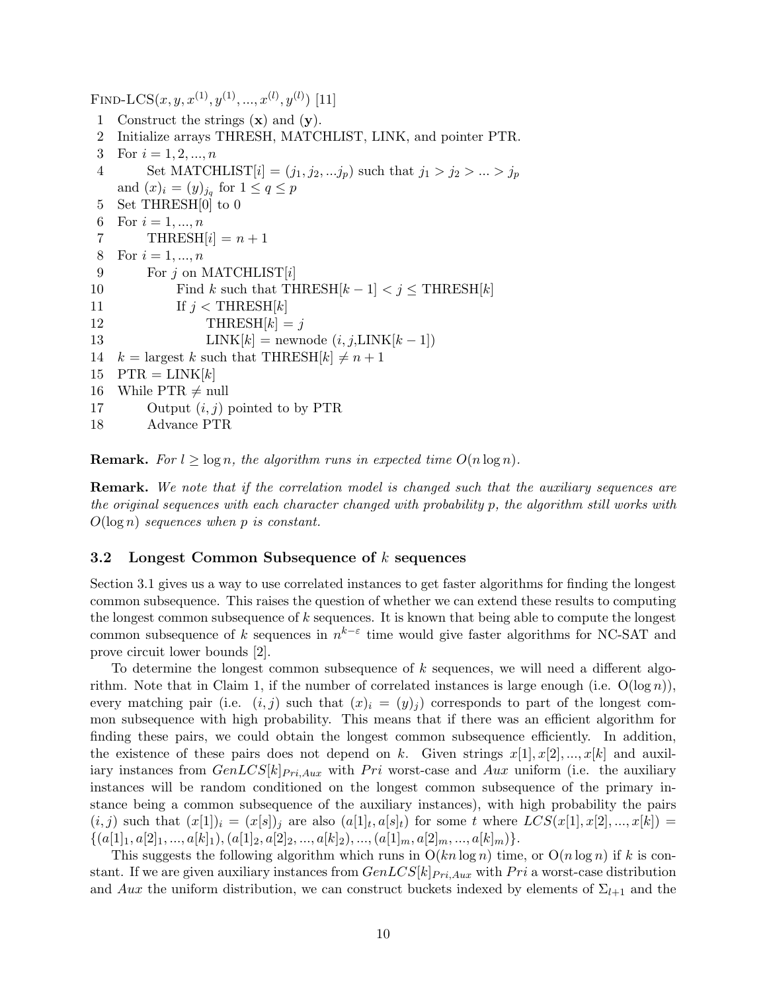FIND-LCS $(x, y, x^{(1)}, y^{(1)}, ..., x^{(l)}, y^{(l)})$  [11] 1 Construct the strings  $(x)$  and  $(y)$ . 2 Initialize arrays THRESH, MATCHLIST, LINK, and pointer PTR. 3 For  $i = 1, 2, ..., n$ 4 Set MATCHLIST  $[i] = (j_1, j_2, ... j_p)$  such that  $j_1 > j_2 > ... > j_p$ and  $(x)_i = (y)_{j_q}$  for  $1 \le q \le p$ 5 Set THRESH[0] to 0 6 For  $i = 1, ..., n$ 7 THRESH[i] =  $n+1$ 8 For  $i = 1, ..., n$ 9 For  $j$  on MATCHLIST[i] 10 Find k such that THRESH $[k-1] < j \leq \text{THRESH}[k]$ 11 If  $j <$  THRESH $|k|$ 12 THRESH $[k] = j$ 13 LINK $[k]$  = newnode  $(i, j, LINK[k-1])$ 14  $k = \text{largest } k \text{ such that } \text{THRESH}[k] \neq n + 1$ 15  $\text{PTR} = \text{LINK}[k]$ 16 While PTR  $\neq$  null 17 Output  $(i, j)$  pointed to by PTR 18 Advance PTR

**Remark.** For  $l \geq \log n$ , the algorithm runs in expected time  $O(n \log n)$ .

**Remark.** We note that if the correlation model is changed such that the auxiliary sequences are the original sequences with each character changed with probability p, the algorithm still works with  $O(\log n)$  sequences when p is constant.

### 3.2 Longest Common Subsequence of k sequences

Section 3.1 gives us a way to use correlated instances to get faster algorithms for finding the longest common subsequence. This raises the question of whether we can extend these results to computing the longest common subsequence of k sequences. It is known that being able to compute the longest common subsequence of k sequences in  $n^{k-\varepsilon}$  time would give faster algorithms for NC-SAT and prove circuit lower bounds [2].

To determine the longest common subsequence of k sequences, we will need a different algorithm. Note that in Claim 1, if the number of correlated instances is large enough (i.e.  $O(\log n)$ ), every matching pair (i.e.  $(i, j)$  such that  $(x)_i = (y)_i$ ) corresponds to part of the longest common subsequence with high probability. This means that if there was an efficient algorithm for finding these pairs, we could obtain the longest common subsequence efficiently. In addition, the existence of these pairs does not depend on k. Given strings  $x[1], x[2], ..., x[k]$  and auxiliary instances from  $GenLCS[k]_{Pri,Aux}$  with Pri worst-case and Aux uniform (i.e. the auxiliary instances will be random conditioned on the longest common subsequence of the primary instance being a common subsequence of the auxiliary instances), with high probability the pairs  $(i, j)$  such that  $(x[1])_i = (x[s])_j$  are also  $(a[1]_t, a[s]_t)$  for some t where  $LCS(x[1], x[2], ..., x[k]) =$  $\{(a[1], a[2], ..., a[k],), (a[1], a[2], ..., a[k],), ..., (a[1], a[2], ..., a[k],)\}.$ 

This suggests the following algorithm which runs in  $O(kn \log n)$  time, or  $O(n \log n)$  if k is constant. If we are given auxiliary instances from  $GenLCS[k]_{Pri, Aux}$  with Pri a worst-case distribution and Aux the uniform distribution, we can construct buckets indexed by elements of  $\Sigma_{l+1}$  and the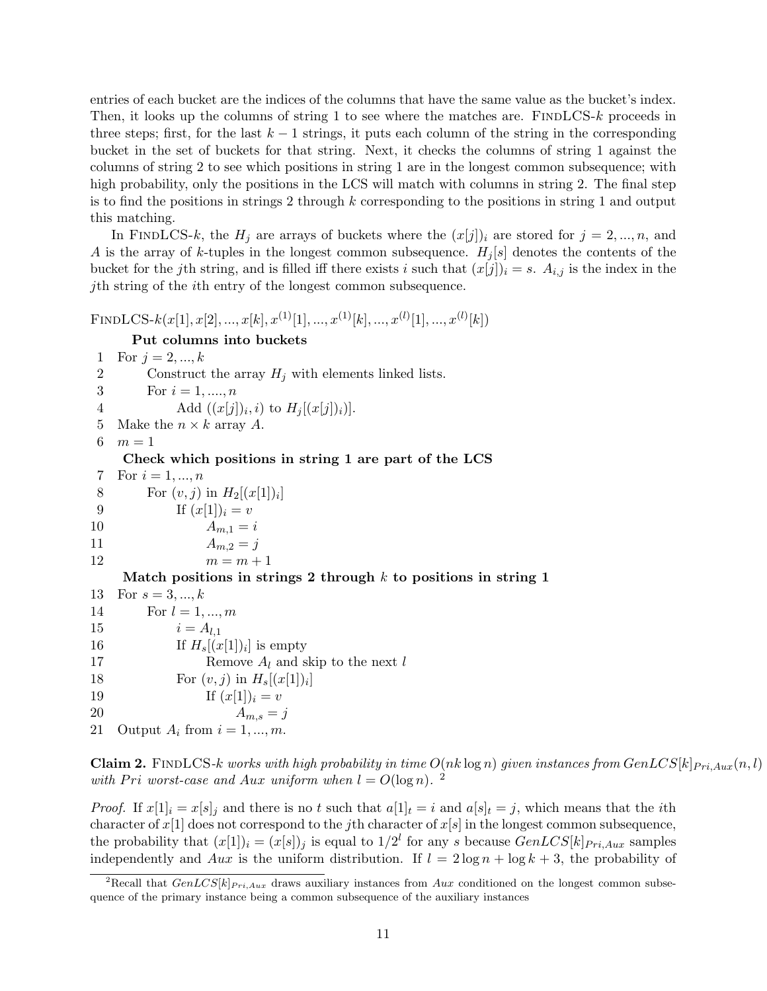entries of each bucket are the indices of the columns that have the same value as the bucket's index. Then, it looks up the columns of string 1 to see where the matches are. FINDLCS- $k$  proceeds in three steps; first, for the last  $k - 1$  strings, it puts each column of the string in the corresponding bucket in the set of buckets for that string. Next, it checks the columns of string 1 against the columns of string 2 to see which positions in string 1 are in the longest common subsequence; with high probability, only the positions in the LCS will match with columns in string 2. The final step is to find the positions in strings 2 through  $k$  corresponding to the positions in string 1 and output this matching.

In FINDLCS-k, the  $H_j$  are arrays of buckets where the  $(x[j])_i$  are stored for  $j = 2, ..., n$ , and A is the array of k-tuples in the longest common subsequence.  $H_i[s]$  denotes the contents of the bucket for the jth string, and is filled iff there exists i such that  $(x[j])_i = s$ .  $A_{i,j}$  is the index in the jth string of the ith entry of the longest common subsequence.

FINDLCS- $k(x[1], x[2], ..., x[k], x^{(1)}[1], ..., x^{(1)}[k], ..., x^{(l)}[1], ..., x^{(l)}[k])$ 

```
Put columns into buckets
1 For j = 2, ..., k2 Construct the array H_i with elements linked lists.
3 For i = 1, ..., n4 Add ((x[j])_i, i) to H_j[(x[j])_i)].5 Make the n \times k array A.
6 m = 1Check which positions in string 1 are part of the LCS
7 For i = 1, ..., n8 For (v, j) in H_2[(x[1])_i]9 If (x[1])_i = v10 A_{m,1} = i11 A_{m,2} = j12 m = m + 1Match positions in strings 2 through k to positions in string 1
13 For s = 3, ..., k14 For l = 1, ..., m15 i = A_{l,1}16 If H_s[(x[1])_i] is empty
17 Remove A_l and skip to the next l
18 For (v, j) in H_s[(x[1])_i]19 If (x[1])_i = v20 A_{m,s} = j21 Output A_i from i = 1, ..., m.
```
Claim 2. FINDLCS-k works with high probability in time  $O(nk \log n)$  given instances from  $GenLCS[k]_{Pri,Aux}(n, l)$ with Pri worst-case and Aux uniform when  $l = O(\log n)$ . <sup>2</sup>

*Proof.* If  $x[1]_i = x[s]_i$  and there is no t such that  $a[1]_t = i$  and  $a[s]_t = j$ , which means that the *i*th character of  $x[1]$  does not correspond to the jth character of  $x[s]$  in the longest common subsequence, the probability that  $(x[1])_i = (x[s])_j$  is equal to  $1/2^l$  for any s because  $GenLCS[k]_{Pri,Aux}$  samples independently and Aux is the uniform distribution. If  $l = 2 \log n + \log k + 3$ , the probability of

<sup>&</sup>lt;sup>2</sup>Recall that  $GenLCS[k]_{Pri,Aux}$  draws auxiliary instances from Aux conditioned on the longest common subsequence of the primary instance being a common subsequence of the auxiliary instances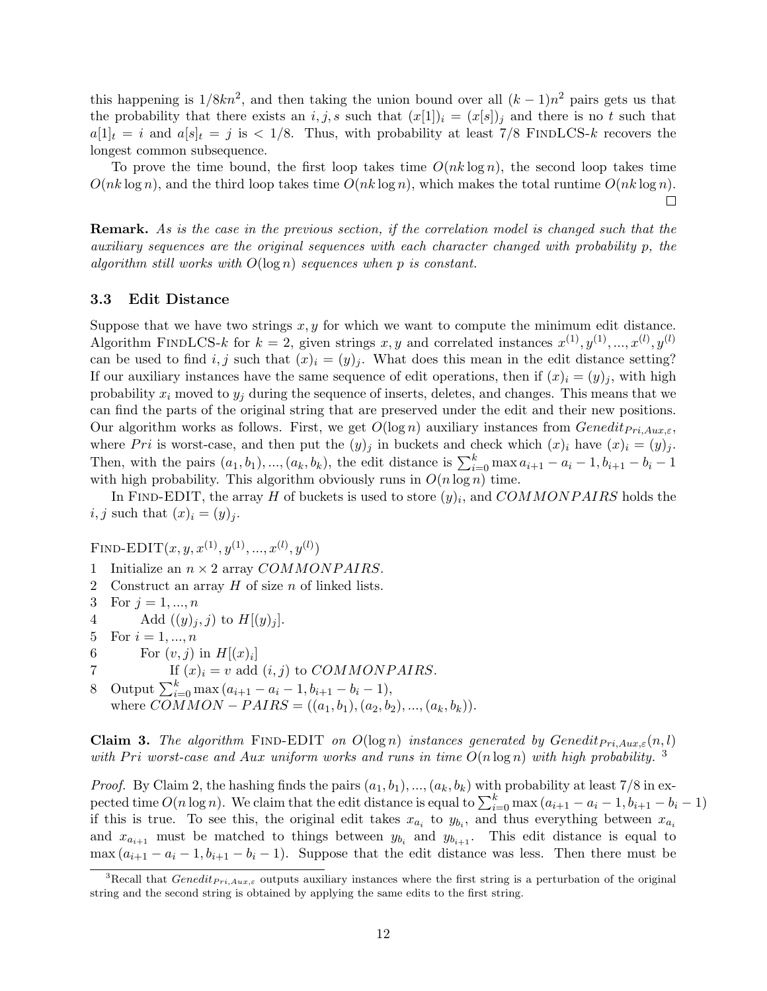this happening is  $1/8kn^2$ , and then taking the union bound over all  $(k-1)n^2$  pairs gets us that the probability that there exists an i, j, s such that  $(x[1])_i = (x[s])_i$  and there is no t such that  $a[1]_t = i$  and  $a[s]_t = j$  is  $\lt 1/8$ . Thus, with probability at least 7/8 FINDLCS-k recovers the longest common subsequence.

To prove the time bound, the first loop takes time  $O(nk \log n)$ , the second loop takes time  $O(nk \log n)$ , and the third loop takes time  $O(nk \log n)$ , which makes the total runtime  $O(nk \log n)$ .  $\Box$ 

Remark. As is the case in the previous section, if the correlation model is changed such that the auxiliary sequences are the original sequences with each character changed with probability p, the algorithm still works with  $O(\log n)$  sequences when p is constant.

### 3.3 Edit Distance

Suppose that we have two strings  $x, y$  for which we want to compute the minimum edit distance. Algorithm FINDLCS-k for  $k = 2$ , given strings x, y and correlated instances  $x^{(1)}, y^{(1)}, ..., x^{(l)}, y^{(l)}$ can be used to find i, j such that  $(x)_i = (y)_j$ . What does this mean in the edit distance setting? If our auxiliary instances have the same sequence of edit operations, then if  $(x)_i = (y)_j$ , with high probability  $x_i$  moved to  $y_i$  during the sequence of inserts, deletes, and changes. This means that we can find the parts of the original string that are preserved under the edit and their new positions. Our algorithm works as follows. First, we get  $O(\log n)$  auxiliary instances from  $Genedit_{Pri, Aux,\varepsilon}$ , where Pri is worst-case, and then put the  $(y)_j$  in buckets and check which  $(x)_i$  have  $(x)_i = (y)_j$ . Then, with the pairs  $(a_1, b_1), ..., (a_k, b_k)$ , the edit distance is  $\sum_{i=0}^{k} \max a_{i+1} - a_i - 1$ ,  $b_{i+1} - b_i - 1$ with high probability. This algorithm obviously runs in  $O(n \log n)$  time.

In FIND-EDIT, the array H of buckets is used to store  $(y)_i$ , and  $COMMONPAIRS$  holds the  $i, j$  such that  $(x)_i = (y)_j$ .

FIND-EDIT $(x, y, x^{(1)}, y^{(1)}, ..., x^{(l)}, y^{(l)})$ 

- 1 Initialize an  $n \times 2$  array COMMONPAIRS.
- 2 Construct an array  $H$  of size  $n$  of linked lists.
- 3 For  $j = 1, ..., n$
- 4 Add  $((y)_i, j)$  to  $H[(y)_i]$ .
- 5 For  $i = 1, ..., n$
- 6 For  $(v, j)$  in  $H[(x)_i]$
- 7 If  $(x)_i = v$  add  $(i, j)$  to *COMMONPAIRS*.

8 Output  $\sum_{i=0}^{k} \max(a_{i+1} - a_i - 1, b_{i+1} - b_i - 1),$ where  $COMMON-PAIRS = ((a_1, b_1), (a_2, b_2), ..., (a_k, b_k)).$ 

**Claim 3.** The algorithm FIND-EDIT on  $O(\log n)$  instances generated by Genedit<sub>Pri,Aux, $\varepsilon$ </sub> $(n, l)$ with Pri worst-case and Aux uniform works and runs in time  $O(n \log n)$  with high probability.

*Proof.* By Claim 2, the hashing finds the pairs  $(a_1, b_1), ..., (a_k, b_k)$  with probability at least 7/8 in expected time  $O(n \log n)$ . We claim that the edit distance is equal to  $\sum_{i=0}^{k} \max (a_{i+1} - a_i - 1, b_{i+1} - b_i - 1)$ if this is true. To see this, the original edit takes  $x_{a_i}$  to  $y_{b_i}$ , and thus everything between  $x_{a_i}$ and  $x_{a_{i+1}}$  must be matched to things between  $y_{b_i}$  and  $y_{b_{i+1}}$ . This edit distance is equal to  $\max (a_{i+1} - a_i - 1, b_{i+1} - b_i - 1)$ . Suppose that the edit distance was less. Then there must be

<sup>&</sup>lt;sup>3</sup>Recall that *Genedit<sub>Pri,Aux,ε* outputs auxiliary instances where the first string is a perturbation of the original</sub> string and the second string is obtained by applying the same edits to the first string.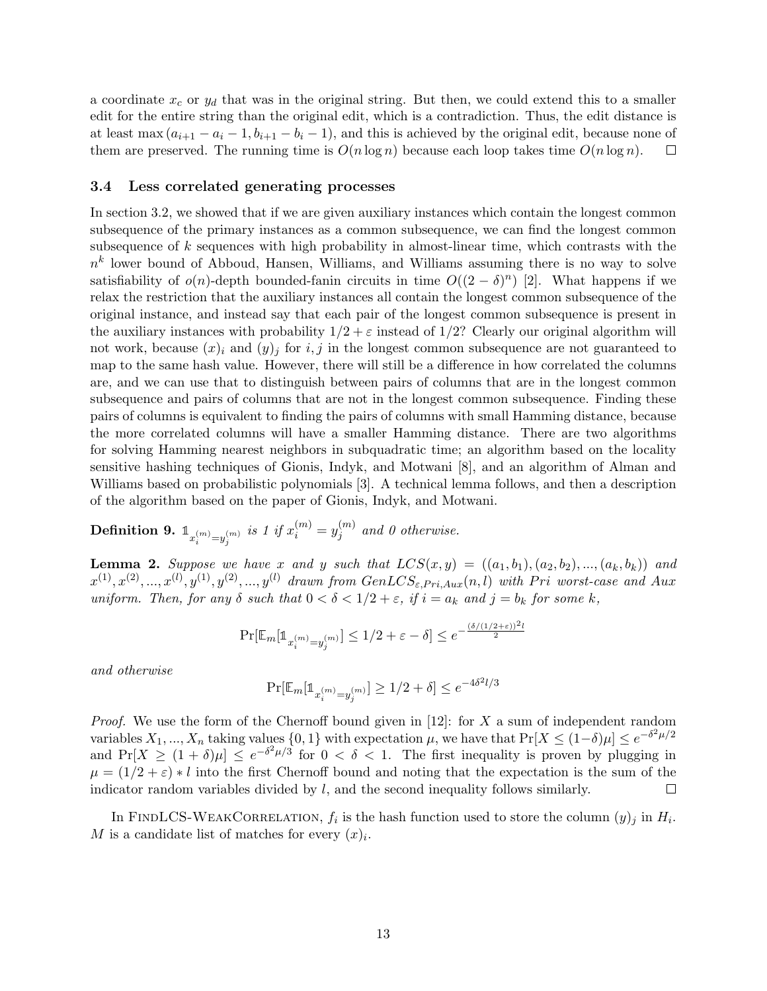a coordinate  $x_c$  or  $y_d$  that was in the original string. But then, we could extend this to a smaller edit for the entire string than the original edit, which is a contradiction. Thus, the edit distance is at least max  $(a_{i+1} - a_i - 1, b_{i+1} - b_i - 1)$ , and this is achieved by the original edit, because none of them are preserved. The running time is  $O(n \log n)$  because each loop takes time  $O(n \log n)$ .  $\Box$ 

#### 3.4 Less correlated generating processes

In section 3.2, we showed that if we are given auxiliary instances which contain the longest common subsequence of the primary instances as a common subsequence, we can find the longest common subsequence of  $k$  sequences with high probability in almost-linear time, which contrasts with the  $n^k$  lower bound of Abboud, Hansen, Williams, and Williams assuming there is no way to solve satisfiability of  $o(n)$ -depth bounded-fanin circuits in time  $O((2 - \delta)^n)$  [2]. What happens if we relax the restriction that the auxiliary instances all contain the longest common subsequence of the original instance, and instead say that each pair of the longest common subsequence is present in the auxiliary instances with probability  $1/2 + \varepsilon$  instead of  $1/2$ ? Clearly our original algorithm will not work, because  $(x_i)$  and  $(y_j)$  for i, j in the longest common subsequence are not guaranteed to map to the same hash value. However, there will still be a difference in how correlated the columns are, and we can use that to distinguish between pairs of columns that are in the longest common subsequence and pairs of columns that are not in the longest common subsequence. Finding these pairs of columns is equivalent to finding the pairs of columns with small Hamming distance, because the more correlated columns will have a smaller Hamming distance. There are two algorithms for solving Hamming nearest neighbors in subquadratic time; an algorithm based on the locality sensitive hashing techniques of Gionis, Indyk, and Motwani [8], and an algorithm of Alman and Williams based on probabilistic polynomials [3]. A technical lemma follows, and then a description of the algorithm based on the paper of Gionis, Indyk, and Motwani.

 $\textbf{Definition 9. } \mathbb{1}_{x_i^{(m)}=y_j^{(m)}} \textit{ is 1 if } x_i^{(m)}=y_j^{(m)}$  $j^{(m)}$  and 0 otherwise.

**Lemma 2.** Suppose we have x and y such that  $LCS(x, y) = ((a_1, b_1), (a_2, b_2), ..., (a_k, b_k))$  and  $x^{(1)}, x^{(2)}, ..., x^{(l)}, y^{(1)}, y^{(2)}, ..., y^{(l)}$  drawn from  $GenLCS_{\varepsilon, Pri, Aux}(n, l)$  with Pri worst-case and Aux uniform. Then, for any  $\delta$  such that  $0 < \delta < 1/2 + \varepsilon$ , if  $i = a_k$  and  $j = b_k$  for some k,

$$
\Pr[\mathbb{E}_m[\mathbb{1}_{x_i^{(m)}=y_j^{(m)}}]\leq 1/2+\varepsilon-\delta]\leq e^{-\frac{(\delta/(1/2+\varepsilon))^2l}{2}}
$$

and otherwise

$$
\Pr[\mathbb{E}_m[\mathbb{1}_{x_i^{(m)}=y_j^{(m)}}] \ge 1/2 + \delta] \le e^{-4\delta^2 l/3}
$$

*Proof.* We use the form of the Chernoff bound given in [12]: for X a sum of independent random variables  $X_1, ..., X_n$  taking values  $\{0, 1\}$  with expectation  $\mu$ , we have that  $Pr[X \leq (1-\delta)\mu] \leq e^{-\delta^2 \mu/2}$ and  $Pr[X \geq (1+\delta)\mu] \leq e^{-\delta^2\mu/3}$  for  $0 < \delta < 1$ . The first inequality is proven by plugging in  $\mu = (1/2 + \varepsilon) * l$  into the first Chernoff bound and noting that the expectation is the sum of the indicator random variables divided by  $l$ , and the second inequality follows similarly.  $\Box$ 

In FINDLCS-WEAKCORRELATION,  $f_i$  is the hash function used to store the column  $(y)_j$  in  $H_i$ . M is a candidate list of matches for every  $(x)_i$ .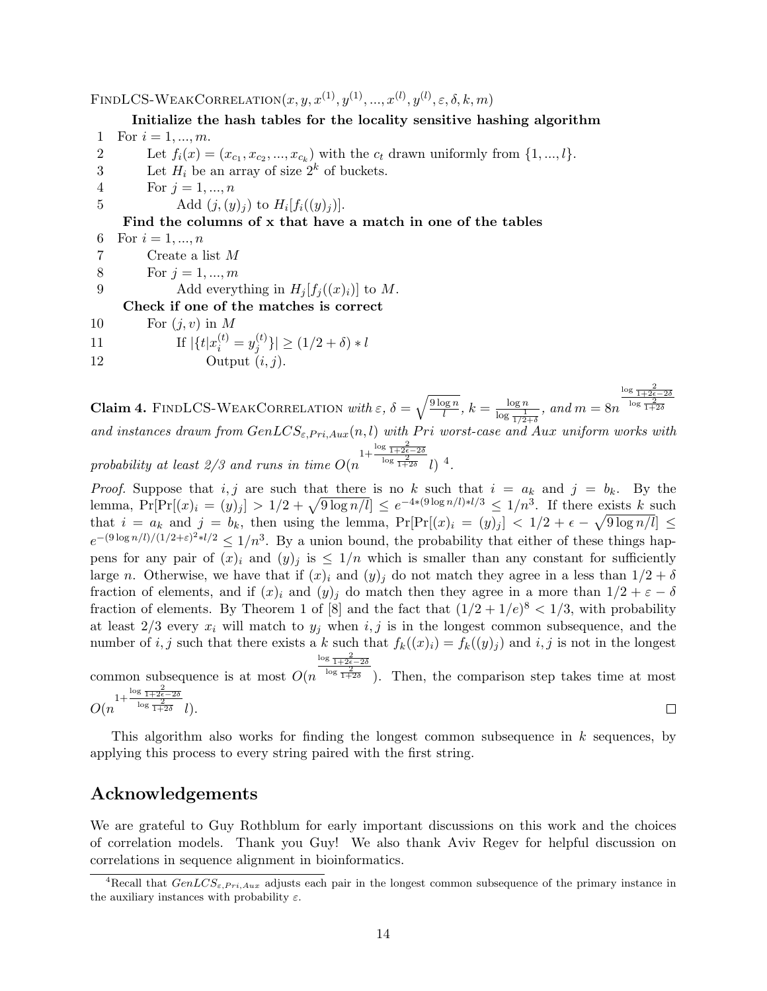FINDLCS-WEAKCORRELATION $(x, y, x^{(1)}, y^{(1)}, ..., x^{(l)}, y^{(l)}, \varepsilon, \delta, k, m)$ 

Initialize the hash tables for the locality sensitive hashing algorithm 1 For  $i = 1, ..., m$ .

- 2 Let  $f_i(x) = (x_{c_1}, x_{c_2}, ..., x_{c_k})$  with the  $c_t$  drawn uniformly from  $\{1, ..., l\}$ .
- 3 Let  $H_i$  be an array of size  $2^k$  of buckets.
- 4 For  $j = 1, ..., n$

5 Add  $(j, (y)_j)$  to  $H_i[f_i((y)_j)]$ .

### Find the columns of x that have a match in one of the tables

- 6 For  $i = 1, ..., n$
- 7 Create a list M
- 8 For  $j = 1, ..., m$

9 Add everything in  $H_i[f_i((x)_i)]$  to M.

Check if one of the matches is correct

- 10 For  $(j, v)$  in M
- 11 If  $|\{t|x_i^{(t)} = y_j^{(t)}\}$  $|j^{(l)}| \geq (1/2 + \delta) * l$
- 12 Output  $(i, j)$ .

**Claim 4.** FINDLCS-WEAKCORRELATION with  $\varepsilon$ ,  $\delta = \sqrt{\frac{9 \log n}{l}}$  $\frac{\log n}{l}$ ,  $k = \frac{\log n}{\log \frac{1}{\lambda}}$  $\frac{\log n}{\log \frac{1}{1/2+\delta}}$ , and  $m = 8n$  $\frac{\log \frac{2}{1+2\epsilon-2\delta}}{\log \frac{2}{1+2\delta}}$ 

and instances drawn from  $GenLCS_{\varepsilon, Pri, Aux}(n, l)$  with Pri worst-case and Aux uniform works with probability at least 2/3 and runs in time  $O(n^{\frac{1+\frac{\log\frac{2}{1+2\epsilon}-2\delta}{\log\frac{2}{1+2\delta}}}}l)^4$ .

*Proof.* Suppose that i, j are such that there is no k such that  $i = a_k$  and  $j = b_k$ . By the lemma,  $Pr[Pr[(x)_i = (y)_j] > 1/2 + \sqrt{9 \log n/l}] \le e^{-4*(9 \log n/l) * l/3} \le 1/n^3$ . If there exists k such that  $i = a_k$  and  $j = b_k$ , then using the lemma,  $Pr[Pr[(x)_i = (y)_j] < 1/2 + \epsilon - \sqrt{9 \log n/l}] \le$  $e^{-(9\log n/l)/(1/2+\varepsilon)^2+l/2} \le 1/n^3$ . By a union bound, the probability that either of these things happens for any pair of  $(x)_i$  and  $(y)_j$  is  $\leq 1/n$  which is smaller than any constant for sufficiently large n. Otherwise, we have that if  $(x)_i$  and  $(y)_j$  do not match they agree in a less than  $1/2 + \delta$ fraction of elements, and if  $(x)_i$  and  $(y)_j$  do match then they agree in a more than  $1/2 + \varepsilon - \delta$ fraction of elements. By Theorem 1 of [8] and the fact that  $(1/2 + 1/e)^8 < 1/3$ , with probability at least  $2/3$  every  $x_i$  will match to  $y_j$  when  $i, j$  is in the longest common subsequence, and the number of i, j such that there exists a k such that  $f_k((x)_i) = f_k((y)_i)$  and i, j is not in the longest  $\frac{\log \frac{2}{1+2\epsilon-2\delta}}{\log \frac{2}{1+2\delta}}$ . Then, the comparison step takes time at most

common subsequence is at most  $O(n)$  $1+\frac{\log\frac{2}{1+2\epsilon-2\delta}}{\log\frac{2}{1+2\delta}}$ 

$$
O(n^{\log \frac{2}{1+2\delta}} l). \square
$$

This algorithm also works for finding the longest common subsequence in k sequences, by applying this process to every string paired with the first string.

## Acknowledgements

We are grateful to Guy Rothblum for early important discussions on this work and the choices of correlation models. Thank you Guy! We also thank Aviv Regev for helpful discussion on correlations in sequence alignment in bioinformatics.

<sup>&</sup>lt;sup>4</sup>Recall that  $GenLCS_{\varepsilon, Pri,Aux}$  adjusts each pair in the longest common subsequence of the primary instance in the auxiliary instances with probability  $\varepsilon$ .